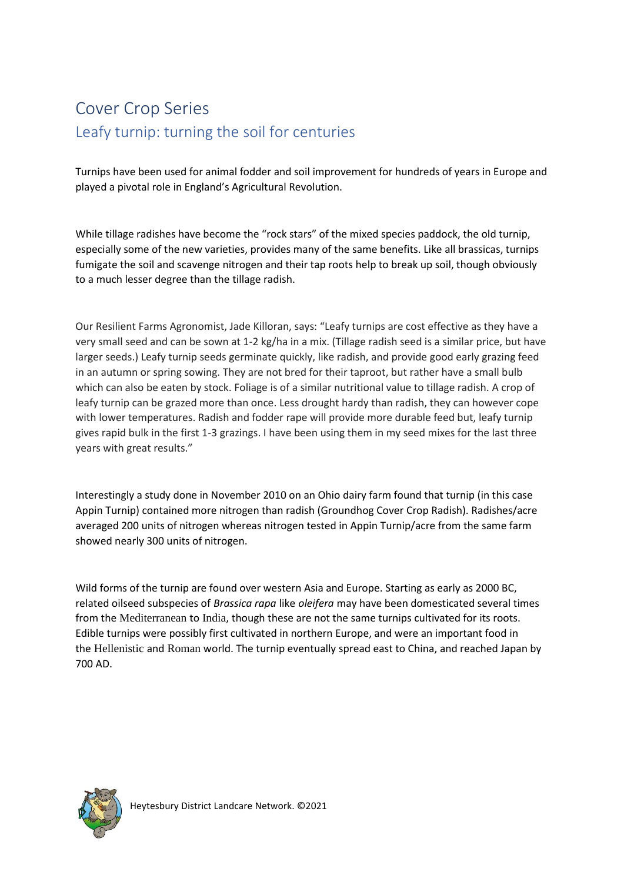# Cover Crop Series Leafy turnip: turning the soil for centuries

Turnips have been used for animal fodder and soil improvement for hundreds of years in Europe and played a pivotal role in England's Agricultural Revolution.

While tillage radishes have become the "rock stars" of the mixed species paddock, the old turnip, especially some of the new varieties, provides many of the same benefits. Like all brassicas, turnips fumigate the soil and scavenge nitrogen and their tap roots help to break up soil, though obviously to a much lesser degree than the tillage radish.

Our Resilient Farms Agronomist, Jade Killoran, says: "Leafy turnips are cost effective as they have a very small seed and can be sown at 1-2 kg/ha in a mix. (Tillage radish seed is a similar price, but have larger seeds.) Leafy turnip seeds germinate quickly, like radish, and provide good early grazing feed in an autumn or spring sowing. They are not bred for their taproot, but rather have a small bulb which can also be eaten by stock. Foliage is of a similar nutritional value to tillage radish. A crop of leafy turnip can be grazed more than once. Less drought hardy than radish, they can however cope with lower temperatures. Radish and fodder rape will provide more durable feed but, leafy turnip gives rapid bulk in the first 1-3 grazings. I have been using them in my seed mixes for the last three years with great results."

Interestingly a study done in November 2010 on an Ohio dairy farm found that turnip (in this case Appin Turnip) contained more nitrogen than radish (Groundhog Cover Crop Radish). Radishes/acre averaged 200 units of nitrogen whereas nitrogen tested in Appin Turnip/acre from the same farm showed nearly 300 units of nitrogen.

Wild forms of the turnip are found over western Asia and Europe. Starting as early as 2000 BC, related oilseed subspecies of *Brassica rapa* like *oleifera* may have been domesticated several times from the [Mediterranean](https://en.wikipedia.org/wiki/Mediterranean) to [India](https://en.wikipedia.org/wiki/India), though these are not the same turnips cultivated for its roots. Edible turnips were possibly first cultivated in northern Europe, and were an important food in the [Hellenistic](https://en.wikipedia.org/wiki/Hellenistic) and [Roman](https://en.wikipedia.org/wiki/Roman_Empire) world. The turnip eventually spread east to China, and reached Japan by 700 AD.

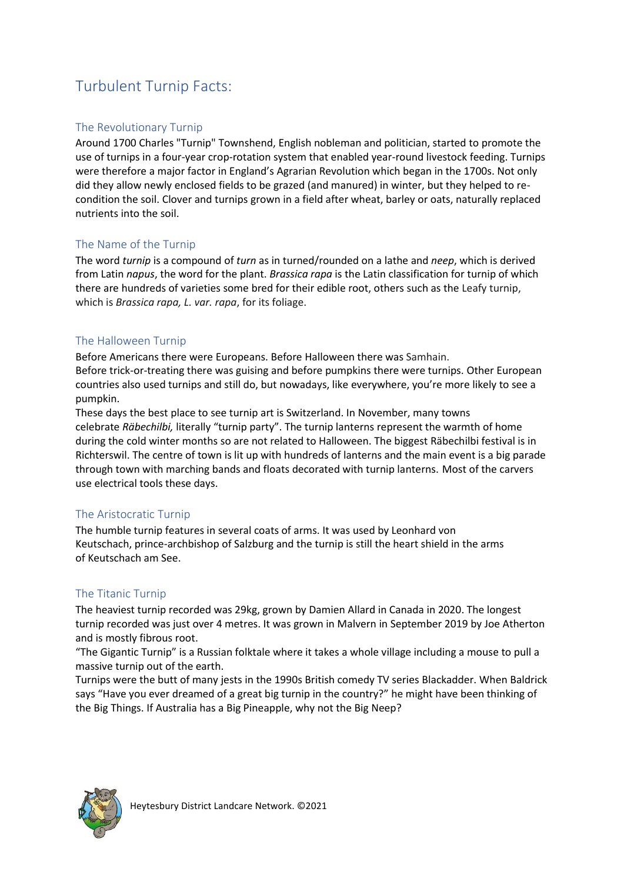### Turbulent Turnip Facts:

#### The Revolutionary Turnip

Around 170[0 Charles "Turnip" Townshend,](https://en.wikipedia.org/wiki/Charles_Townshend,_2nd_Viscount_Townshend#"Turnip"_Townshend) English nobleman and politician, started to promote the use of turnips in a four-year [crop-rotation](https://en.wikipedia.org/wiki/Crop_rotation) system that enabled year-round livestock feeding. Turnips were therefore a major factor in England's Agrarian Revolution which began in the 1700s. Not only did they allow newly enclosed fields to be grazed (and manured) in winter, but they helped to recondition the soil. Clover and turnips grown in a field after wheat, barley or oats, naturally replaced nutrients into the soil.

#### The Name of the Turnip

The word *turnip* is a [compound](https://en.wikipedia.org/wiki/Compound_(linguistics)) of *turn* as in turned/rounded on a [lathe](https://en.wikipedia.org/wiki/Lathe) and *neep*, which is derived from Latin *napus*, the word for the plant. *Brassica rapa* is the Latin classification for turnip of which there are hundreds of varieties some bred for their edible root, others such as the Leafy turnip, which is *Brassica rapa, L. var. rapa*, for its foliage.

#### The Halloween Turnip

Before Americans there were Europeans. Before Halloween there was Samhain. Before trick-or-treating there was guising and before pumpkins there were turnips. Other European countries also used turnips and still do, but nowadays, like everywhere, you're more likely to see a pumpkin.

These days the best place to see turnip art is Switzerland. In November, many towns celebrate *Räbechilbi,* literally "turnip party". The turnip lanterns represent the warmth of home during the cold winter months so are not related to Halloween. The biggest Räbechilbi festival is in Richterswil. The centre of town is lit up with hundreds of lanterns and the main event is a big parade through town with marching bands and floats decorated with turnip lanterns. Most of the carvers use electrical tools these days.

#### The Aristocratic Turnip

The humble turnip features in several coats of arms. It was used by [Leonhard von](https://en.wikipedia.org/wiki/Leonhard_von_Keutschach)  [Keutschach,](https://en.wikipedia.org/wiki/Leonhard_von_Keutschach) [prince-archbishop of Salzburg](https://en.wikipedia.org/wiki/Prince-archbishop_of_Salzburg) and the turnip is still the heart shield in the arms of [Keutschach am See.](https://en.wikipedia.org/wiki/Keutschach_am_See)

#### The Titanic Turnip

The heaviest turnip recorded was 29kg, grown by Damien Allard in Canada in 2020. The longest turnip recorded was just over 4 metres. It was grown in Malvern in September 2019 by Joe Atherton and is mostly fibrous root.

"The Gigantic Turnip" is a Russian folktale where it takes a whole village including a mouse to pull a massive turnip out of the earth.

Turnips were the butt of many jests in the 1990s British comedy TV series Blackadder. When Baldrick says "Have you ever dreamed of a great big turnip in the country?" he might have been thinking of the Big Things. If Australia has a Big Pineapple, why not the Big Neep?

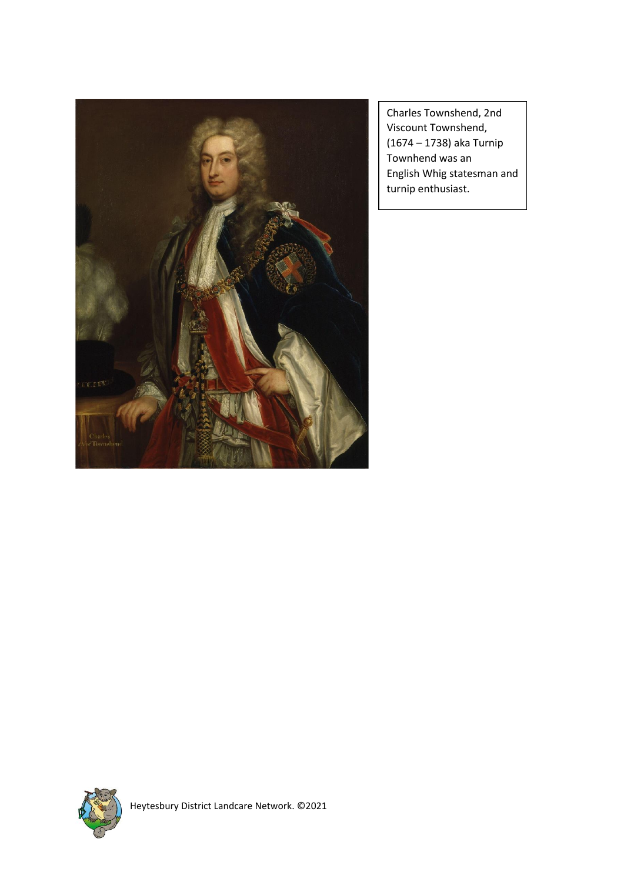

Charles Townshend, 2nd Viscount Townshend, (1674 – 1738) aka Turnip Townhend was an English [Whig](https://en.wikipedia.org/wiki/Whigs_(British_political_party)) statesman and turnip enthusiast.